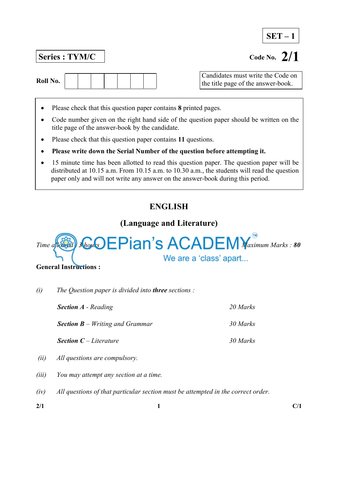# $SET - 1$

# Series : TYM/C Code No. 2/1

Roll No.

Candidates must write the Code on the title page of the answer-book.

- Please check that this question paper contains 8 printed pages.
- Code number given on the right hand side of the question paper should be written on the title page of the answer-book by the candidate.
- Please check that this question paper contains 11 questions.
- Please write down the Serial Number of the question before attempting it.
- 15 minute time has been allotted to read this question paper. The question paper will be distributed at 10.15 a.m. From 10.15 a.m. to 10.30 a.m., the students will read the question paper only and will not write any answer on the answer-book during this period.

# ENGLISH

# (Language and Literature)



General Instructions :

 $(i)$  The Question paper is divided into **three** sections :

| <b>Section A</b> - Reading             | 20 Marks |
|----------------------------------------|----------|
| <b>Section B</b> – Writing and Grammar | 30 Marks |
| <b>Section C</b> – Literature          | 30 Marks |

- (ii) All questions are compulsory.
- (iii) You may attempt any section at a time.
- (iv) All questions of that particular section must be attempted in the correct order.
- $2/1$  c/1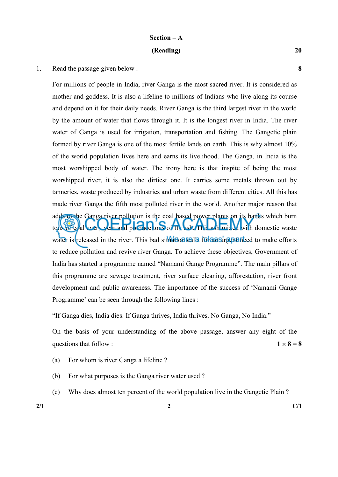# Section – A (Reading) 20

1. Read the passage given below : 8

 For millions of people in India, river Ganga is the most sacred river. It is considered as mother and goddess. It is also a lifeline to millions of Indians who live along its course and depend on it for their daily needs. River Ganga is the third largest river in the world by the amount of water that flows through it. It is the longest river in India. The river water of Ganga is used for irrigation, transportation and fishing. The Gangetic plain formed by river Ganga is one of the most fertile lands on earth. This is why almost 10% of the world population lives here and earns its livelihood. The Ganga, in India is the most worshipped body of water. The irony here is that inspite of being the most worshipped river, it is also the dirtiest one. It carries some metals thrown out by tanneries, waste produced by industries and urban waste from different cities. All this has made river Ganga the fifth most polluted river in the world. Another major reason that adds to the Ganga river pollution is the coal based power plants on its banks which burn tons of coal every year and produce tons of fly ash. This ash mixed with domestic waste water is released in the river. This bad situation calls for an urgent need to make efforts to reduce pollution and revive river Ganga. To achieve these objectives, Government of India has started a programme named "Namami Gange Programme". The main pillars of this programme are sewage treatment, river surface cleaning, afforestation, river front development and public awareness. The importance of the success of 'Namami Gange Programme' can be seen through the following lines :

"If Ganga dies, India dies. If Ganga thrives, India thrives. No Ganga, No India."

 On the basis of your understanding of the above passage, answer any eight of the questions that follow :  $1 \times 8 = 8$ 

- (a) For whom is river Ganga a lifeline ?
- (b) For what purposes is the Ganga river water used ?
- (c) Why does almost ten percent of the world population live in the Gangetic Plain ?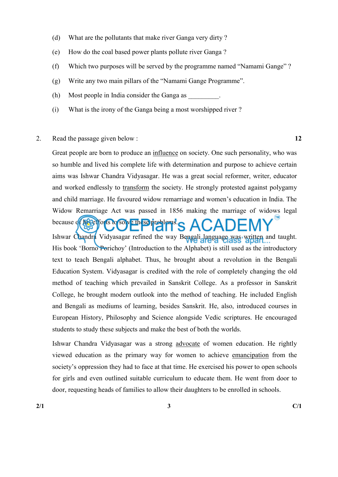- (d) What are the pollutants that make river Ganga very dirty ?
- (e) How do the coal based power plants pollute river Ganga ?
- (f) Which two purposes will be served by the programme named "Namami Gange" ?
- (g) Write any two main pillars of the "Namami Gange Programme".
- (h) Most people in India consider the Ganga as
- (i) What is the irony of the Ganga being a most worshipped river ?

#### 2. Read the passage given below : 12

 Great people are born to produce an influence on society. One such personality, who was so humble and lived his complete life with determination and purpose to achieve certain aims was Ishwar Chandra Vidyasagar. He was a great social reformer, writer, educator and worked endlessly to transform the society. He strongly protested against polygamy and child marriage. He favoured widow remarriage and women's education in India. The Widow Remarriage Act was passed in 1856 making the marriage of widows legal because of his efforts to solve these problems. Ishwar Chandra Vidyasagar refined the way Bengali language was written and taught. His book 'Borno Porichoy' (Introduction to the Alphabet) is still used as the introductory text to teach Bengali alphabet. Thus, he brought about a revolution in the Bengali Education System. Vidyasagar is credited with the role of completely changing the old method of teaching which prevailed in Sanskrit College. As a professor in Sanskrit College, he brought modern outlook into the method of teaching. He included English and Bengali as mediums of learning, besides Sanskrit. He, also, introduced courses in European History, Philosophy and Science alongside Vedic scriptures. He encouraged students to study these subjects and make the best of both the worlds.

 Ishwar Chandra Vidyasagar was a strong advocate of women education. He rightly viewed education as the primary way for women to achieve emancipation from the society's oppression they had to face at that time. He exercised his power to open schools for girls and even outlined suitable curriculum to educate them. He went from door to door, requesting heads of families to allow their daughters to be enrolled in schools.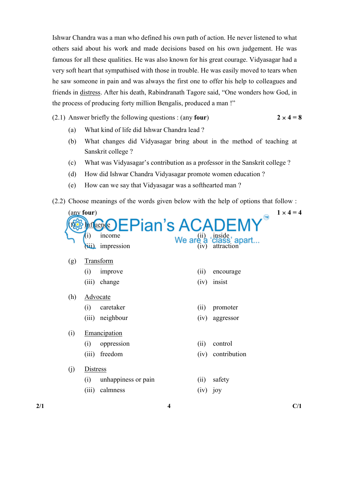Ishwar Chandra was a man who defined his own path of action. He never listened to what others said about his work and made decisions based on his own judgement. He was famous for all these qualities. He was also known for his great courage. Vidyasagar had a very soft heart that sympathised with those in trouble. He was easily moved to tears when he saw someone in pain and was always the first one to offer his help to colleagues and friends in distress. After his death, Rabindranath Tagore said, "One wonders how God, in the process of producing forty million Bengalis, produced a man !"

(2.1) Answer briefly the following questions : (any four)  $2 \times 4 = 8$ 

- (a) What kind of life did Ishwar Chandra lead ?
- (b) What changes did Vidyasagar bring about in the method of teaching at Sanskrit college ?
- (c) What was Vidyasagar's contribution as a professor in the Sanskrit college ?
- (d) How did Ishwar Chandra Vidyasagar promote women education ?
- (e) How can we say that Vidyasagar was a softhearted man ?
- (2.2) Choose meanings of the words given below with the help of options that follow :

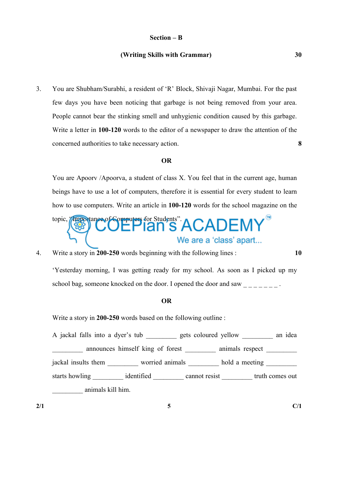#### Section – B

#### (Writing Skills with Grammar) 30

3. You are Shubham/Surabhi, a resident of 'R' Block, Shivaji Nagar, Mumbai. For the past few days you have been noticing that garbage is not being removed from your area. People cannot bear the stinking smell and unhygienic condition caused by this garbage. Write a letter in 100-120 words to the editor of a newspaper to draw the attention of the concerned authorities to take necessary action. 8

## OR

 You are Apoorv /Apoorva, a student of class X. You feel that in the current age, human beings have to use a lot of computers, therefore it is essential for every student to learn how to use computers. Write an article in 100-120 words for the school magazine on the

topic, "Importance of Computers for Students".

4. Write a story in 200-250 words beginning with the following lines : 10

 'Yesterday morning, I was getting ready for my school. As soon as I picked up my school bag, someone knocked on the door. I opened the door and saw  $\frac{1}{2}$ 

## OR

Write a story in 200-250 words based on the following outline :

| A jackal falls into a dyer's tub |                                  | gets coloured yellow | an idea         |
|----------------------------------|----------------------------------|----------------------|-----------------|
|                                  | announces himself king of forest |                      | animals respect |
| jackal insults them              | worried animals                  |                      | hold a meeting  |
| starts howling                   | identified                       | cannot resist        | truth comes out |
| animals kill him.                |                                  |                      |                 |

 $2/1$  C/1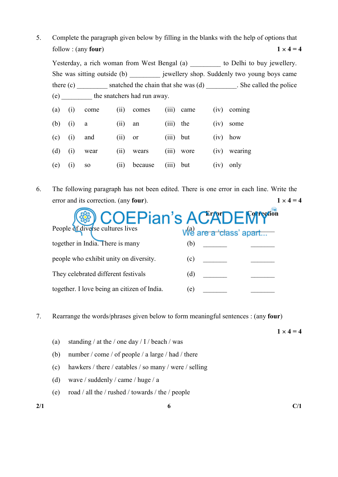5. Complete the paragraph given below by filling in the blanks with the help of options that follow : (any four)  $1 \times 4 = 4$ 

Yesterday, a rich woman from West Bengal (a) to Delhi to buy jewellery. She was sitting outside (b) jewellery shop. Suddenly two young boys came there (c) \_\_\_\_\_\_\_\_\_ snatched the chain that she was (d) \_\_\_\_\_\_\_\_\_. She called the police (e) \_\_\_\_\_\_\_\_\_ the snatchers had run away.

| $(a)$ $(i)$ |               | come            |           | $(ii)$ comes   |             | $(iii)$ came | $(iv)$ coming |
|-------------|---------------|-----------------|-----------|----------------|-------------|--------------|---------------|
|             | (b) (i) a     |                 | $(ii)$ an |                | $(iii)$ the |              | $(iv)$ some   |
|             | $(c)$ (i) and |                 | $(ii)$ or |                | $(iii)$ but |              | $(iv)$ how    |
| $(d)$ (i)   |               | wear            |           | $(ii)$ wears   |             | $(iii)$ wore | (iv) wearing  |
| (e)         | (1)           | SO <sub>1</sub> |           | $(ii)$ because | $(iii)$ but |              | $(iv)$ only   |

6. The following paragraph has not been edited. There is one error in each line. Write the error and its correction. (any four).  $1 \times 4 = 4$ 

| People dé diverse cultures lives            |                                         |
|---------------------------------------------|-----------------------------------------|
|                                             | $W_{\rm e}^{\rm a}$ are a 'class' apart |
| together in India. There is many            | (b)                                     |
| people who exhibit unity on diversity.      | (c)                                     |
| They celebrated different festivals         | (d)                                     |
| together. I love being an citizen of India. | (e)                                     |

7. Rearrange the words/phrases given below to form meaningful sentences : (any four)

(a) standing / at the / one day  $/$  I / beach / was

- (b) number / come / of people / a large / had / there
- (c) hawkers / there / eatables / so many / were / selling
- (d) wave / suddenly / came / huge / a
- (e) road / all the / rushed / towards / the / people

 $1 \times 4 = 4$ 

 $2/1$  c/1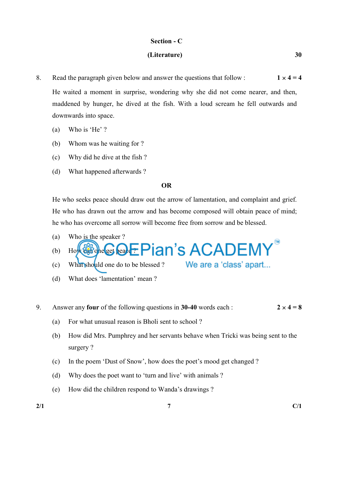# Section - C

## (Literature) 30

8. Read the paragraph given below and answer the questions that follow :  $1 \times 4 = 4$ 

 He waited a moment in surprise, wondering why she did not come nearer, and then, maddened by hunger, he dived at the fish. With a loud scream he fell outwards and downwards into space.

- (a) Who is 'He' ?
- (b) Whom was he waiting for ?
- (c) Why did he dive at the fish ?
- (d) What happened afterwards ?

### OR

 He who seeks peace should draw out the arrow of lamentation, and complaint and grief. He who has drawn out the arrow and has become composed will obtain peace of mind; he who has overcome all sorrow will become free from sorrow and be blessed.

We are a 'class' apart...

- (a) Who is the speaker ?
- (b) How can one get peace ?
- (c) What should one do to be blessed ?
- (d) What does 'lamentation' mean ?

#### 9. Answer any four of the following questions in 30-40 words each :  $2 \times 4 = 8$

- (a) For what unusual reason is Bholi sent to school ?
- (b) How did Mrs. Pumphrey and her servants behave when Tricki was being sent to the surgery ?
- (c) In the poem 'Dust of Snow', how does the poet's mood get changed ?
- (d) Why does the poet want to 'turn and live' with animals ?
- (e) How did the children respond to Wanda's drawings ?

 $2/1$  C/1